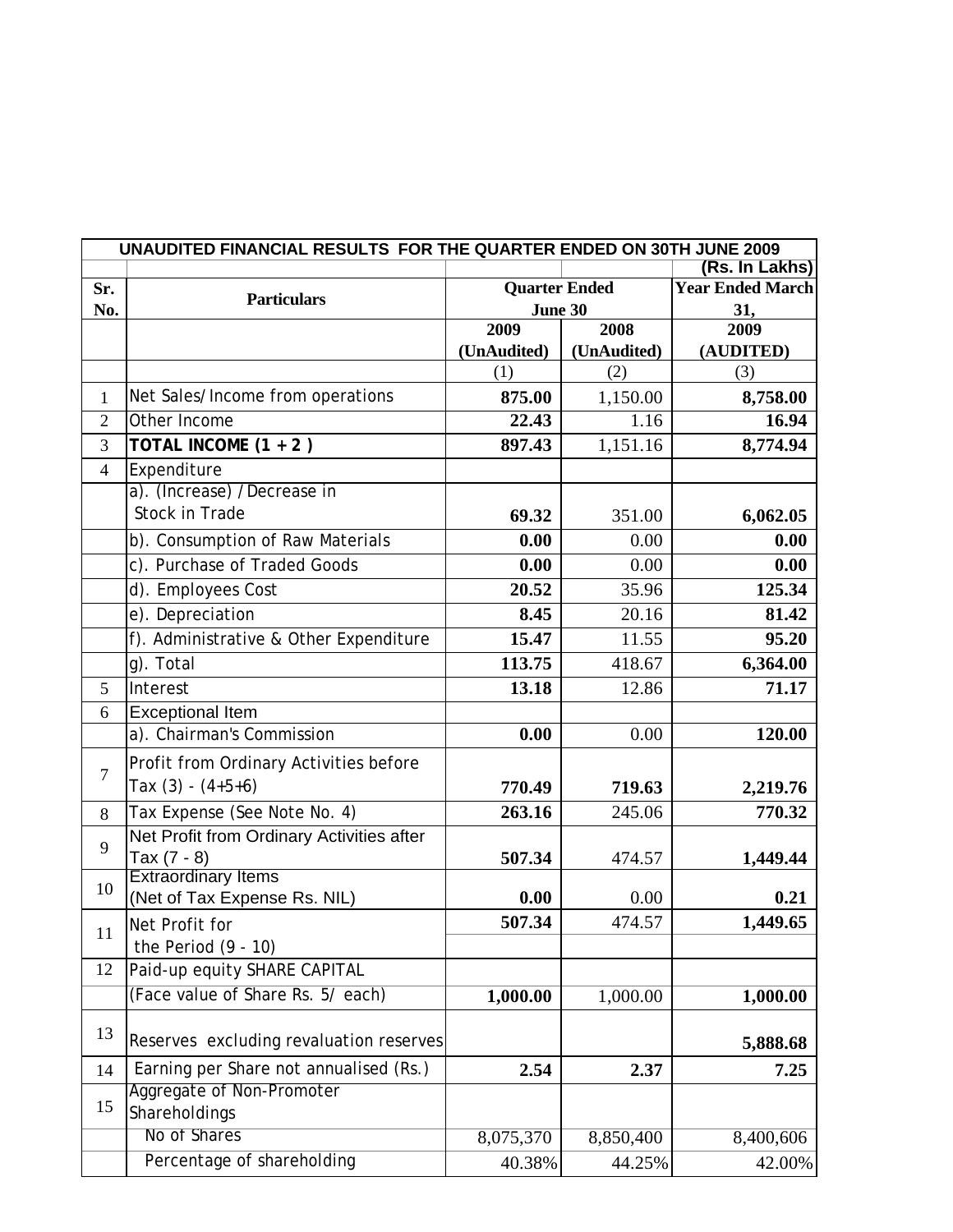| UNAUDITED FINANCIAL RESULTS FOR THE QUARTER ENDED ON 30TH JUNE 2009 |                                                  |                      |                         |                   |  |
|---------------------------------------------------------------------|--------------------------------------------------|----------------------|-------------------------|-------------------|--|
|                                                                     |                                                  |                      |                         | (Rs. In Lakhs)    |  |
| Sr.                                                                 | <b>Particulars</b>                               | <b>Quarter Ended</b> | <b>Year Ended March</b> |                   |  |
| No.                                                                 |                                                  | <b>June 30</b>       |                         | 31,               |  |
|                                                                     |                                                  | 2009                 | 2008                    | 2009              |  |
|                                                                     |                                                  | (UnAudited)<br>(1)   | (UnAudited)<br>(2)      | (AUDITED)<br>(3)  |  |
|                                                                     |                                                  |                      |                         |                   |  |
| 1                                                                   | Net Sales/Income from operations<br>Other Income | 875.00               | 1,150.00                | 8,758.00<br>16.94 |  |
| $\overline{2}$                                                      |                                                  | 22.43                | 1.16                    |                   |  |
| 3                                                                   | TOTAL INCOME (1 + 2)                             | 897.43               | 1,151.16                | 8,774.94          |  |
| $\overline{4}$                                                      | Expenditure<br>a). (Increase) /Decrease in       |                      |                         |                   |  |
|                                                                     | Stock in Trade                                   |                      |                         |                   |  |
|                                                                     |                                                  | 69.32                | 351.00                  | 6,062.05          |  |
|                                                                     | b). Consumption of Raw Materials                 | 0.00                 | 0.00                    | 0.00              |  |
|                                                                     | c). Purchase of Traded Goods                     | 0.00                 | 0.00                    | 0.00              |  |
|                                                                     | d). Employees Cost                               | 20.52                | 35.96                   | 125.34            |  |
|                                                                     | e). Depreciation                                 | 8.45                 | 20.16                   | 81.42             |  |
|                                                                     | f). Administrative & Other Expenditure           | 15.47                | 11.55                   | 95.20             |  |
|                                                                     | g). Total                                        | 113.75               | 418.67                  | 6,364.00          |  |
| 5                                                                   | Interest                                         | 13.18                | 12.86                   | 71.17             |  |
| 6                                                                   | <b>Exceptional Item</b>                          |                      |                         |                   |  |
|                                                                     | a). Chairman's Commission                        | 0.00                 | 0.00                    | 120.00            |  |
|                                                                     | Profit from Ordinary Activities before           |                      |                         |                   |  |
| $\overline{7}$                                                      | Tax $(3) - (4+5+6)$                              | 770.49               | 719.63                  | 2,219.76          |  |
| 8                                                                   | Tax Expense (See Note No. 4)                     | 263.16               | 245.06                  | 770.32            |  |
|                                                                     | Net Profit from Ordinary Activities after        |                      |                         |                   |  |
| 9                                                                   | Tax (7 - 8)                                      | 507.34               | 474.57                  | 1,449.44          |  |
| 10                                                                  | <b>Extraordinary Items</b>                       |                      |                         |                   |  |
|                                                                     | (Net of Tax Expense Rs. NIL)                     | 0.00                 | 0.00                    | 0.21              |  |
| 11                                                                  | Net Profit for                                   | 507.34               | 474.57                  | 1,449.65          |  |
|                                                                     | the Period $(9 - 10)$                            |                      |                         |                   |  |
| 12                                                                  | Paid-up equity SHARE CAPITAL                     |                      |                         |                   |  |
|                                                                     | (Face value of Share Rs. 5/ each)                | 1,000.00             | 1,000.00                | 1,000.00          |  |
| 13                                                                  | Reserves excluding revaluation reserves          |                      |                         | 5,888.68          |  |
| 14                                                                  | Earning per Share not annualised (Rs.)           | 2.54                 | 2.37                    | 7.25              |  |
|                                                                     | Aggregate of Non-Promoter                        |                      |                         |                   |  |
| 15                                                                  | Shareholdings                                    |                      |                         |                   |  |
|                                                                     | No of Shares                                     | 8,075,370            | 8,850,400               | 8,400,606         |  |
|                                                                     | Percentage of shareholding                       | 40.38%               | 44.25%                  | 42.00%            |  |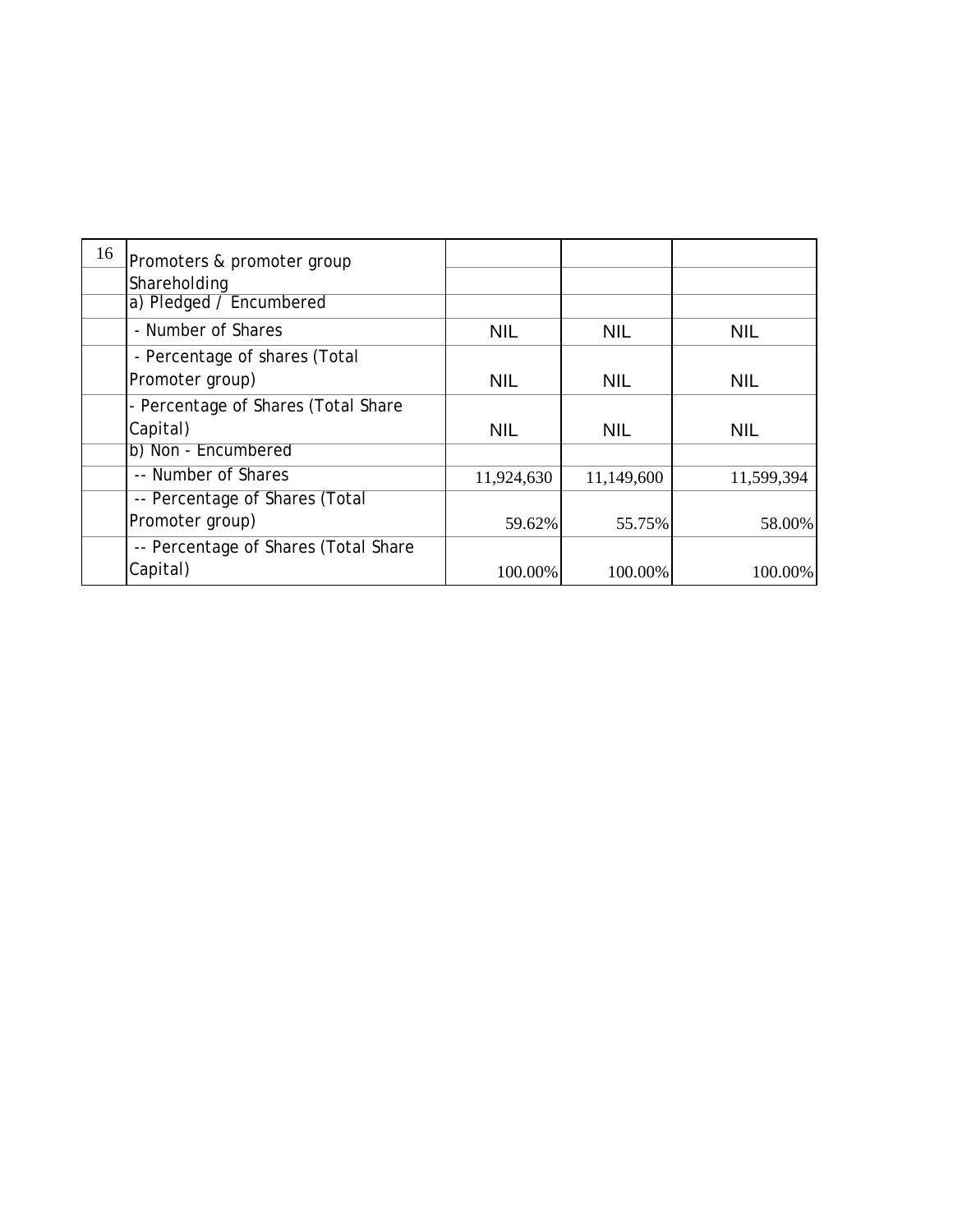| 16 | Promoters & promoter group           |            |            |            |
|----|--------------------------------------|------------|------------|------------|
|    | Shareholding                         |            |            |            |
|    | a) Pledged / Encumbered              |            |            |            |
|    | - Number of Shares                   | <b>NIL</b> | <b>NIL</b> | <b>NIL</b> |
|    | - Percentage of shares (Total        |            |            |            |
|    | Promoter group)                      | <b>NIL</b> | <b>NIL</b> | <b>NIL</b> |
|    | - Percentage of Shares (Total Share  |            |            |            |
|    | Capital)                             | <b>NIL</b> | <b>NIL</b> | <b>NIL</b> |
|    | b) Non - Encumbered                  |            |            |            |
|    | -- Number of Shares                  | 11,924,630 | 11,149,600 | 11,599,394 |
|    | -- Percentage of Shares (Total       |            |            |            |
|    | Promoter group)                      | 59.62%     | 55.75%     | 58.00%     |
|    | -- Percentage of Shares (Total Share |            |            |            |
|    | Capital)                             | 100.00%    | 100.00%    | 100.00%    |